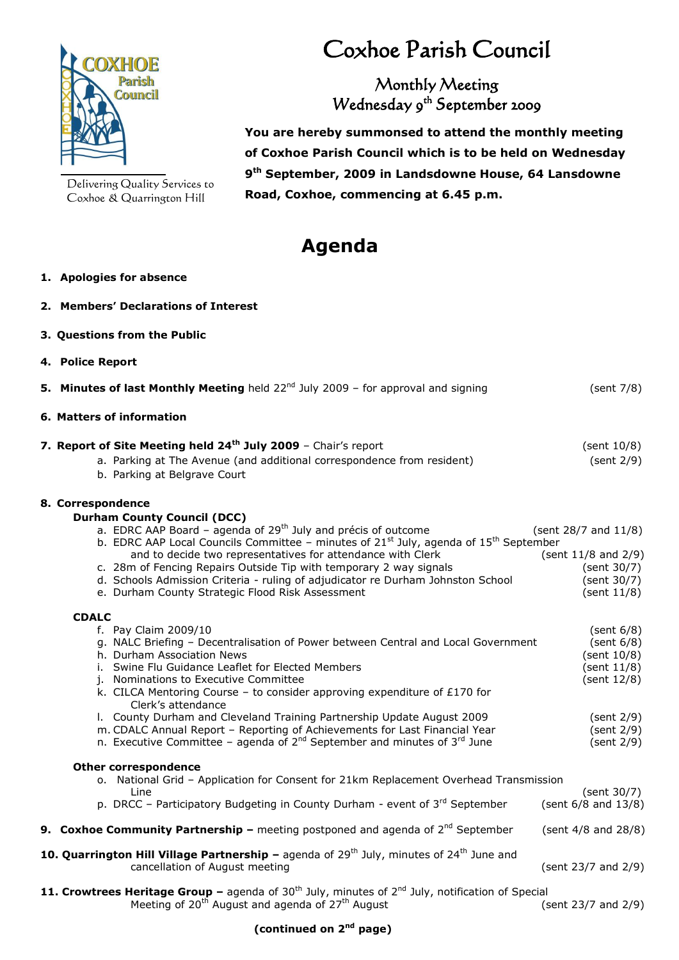

Delivering Quality Services to Coxhoe & Quarrington Hill

# Coxhoe Parish Council

Monthly Meeting Wednesday 9 th September 2009

 **You are hereby summonsed to attend the monthly meeting of Coxhoe Parish Council which is to be held on Wednesday 9 th September, 2009 in Landsdowne House, 64 Lansdowne Road, Coxhoe, commencing at 6.45 p.m.**

## **Agenda**

#### **1. Apologies for absence**

- **2. Members' Declarations of Interest**
- **3. Questions from the Public**
- **4. Police Report**

|  | <b>5. Minutes of last Monthly Meeting</b> held 22 <sup>nd</sup> July 2009 - for approval and signing                                                                                                                                                                                                                                                                                                                                                                                     | (sent 7/8)                                                                               |
|--|------------------------------------------------------------------------------------------------------------------------------------------------------------------------------------------------------------------------------------------------------------------------------------------------------------------------------------------------------------------------------------------------------------------------------------------------------------------------------------------|------------------------------------------------------------------------------------------|
|  | 6. Matters of information                                                                                                                                                                                                                                                                                                                                                                                                                                                                |                                                                                          |
|  | 7. Report of Site Meeting held 24 <sup>th</sup> July 2009 - Chair's report<br>a. Parking at The Avenue (and additional correspondence from resident)<br>b. Parking at Belgrave Court                                                                                                                                                                                                                                                                                                     | (sent 10/8)<br>(sent 2/9)                                                                |
|  | 8. Correspondence                                                                                                                                                                                                                                                                                                                                                                                                                                                                        |                                                                                          |
|  | <b>Durham County Council (DCC)</b><br>a. EDRC AAP Board - agenda of 29 <sup>th</sup> July and précis of outcome<br>b. EDRC AAP Local Councils Committee - minutes of $21st$ July, agenda of $15th$ September<br>and to decide two representatives for attendance with Clerk<br>c. 28m of Fencing Repairs Outside Tip with temporary 2 way signals<br>d. Schools Admission Criteria - ruling of adjudicator re Durham Johnston School<br>e. Durham County Strategic Flood Risk Assessment | (sent 28/7 and 11/8)<br>(sent 11/8 and 2/9)<br>(sent 30/7)<br>(sent 30/7)<br>(sent 11/8) |
|  | <b>CDALC</b>                                                                                                                                                                                                                                                                                                                                                                                                                                                                             |                                                                                          |
|  | f. Pay Claim 2009/10<br>g. NALC Briefing - Decentralisation of Power between Central and Local Government<br>h. Durham Association News<br>i. Swine Flu Guidance Leaflet for Elected Members<br>j. Nominations to Executive Committee<br>k. CILCA Mentoring Course - to consider approving expenditure of £170 for<br>Clerk's attendance<br>I. County Durham and Cleveland Training Partnership Update August 2009                                                                       | (sent 6/8)<br>(sent 6/8)<br>(sent 10/8)<br>(sent 11/8)<br>(sent 12/8)<br>(sent 2/9)      |
|  | m. CDALC Annual Report - Reporting of Achievements for Last Financial Year<br>n. Executive Committee - agenda of $2^{nd}$ September and minutes of $3^{rd}$ June                                                                                                                                                                                                                                                                                                                         | (sent 2/9)<br>(sent 2/9)                                                                 |
|  | <b>Other correspondence</b><br>o. National Grid - Application for Consent for 21km Replacement Overhead Transmission                                                                                                                                                                                                                                                                                                                                                                     |                                                                                          |
|  | Line<br>p. DRCC - Participatory Budgeting in County Durham - event of $3^{rd}$ September                                                                                                                                                                                                                                                                                                                                                                                                 | (sent 30/7)<br>(sent 6/8 and 13/8)                                                       |
|  | <b>9. Coxhoe Community Partnership</b> – meeting postponed and agenda of $2^{nd}$ September                                                                                                                                                                                                                                                                                                                                                                                              | (sent 4/8 and 28/8)                                                                      |
|  | 10. Quarrington Hill Village Partnership - agenda of $29th$ July, minutes of $24th$ June and<br>cancellation of August meeting                                                                                                                                                                                                                                                                                                                                                           | (sent 23/7 and 2/9)                                                                      |
|  | 11. Crowtrees Heritage Group - agenda of $30th$ July, minutes of $2nd$ July, notification of Special<br>Meeting of 20 <sup>th</sup> August and agenda of 27 <sup>th</sup> August                                                                                                                                                                                                                                                                                                         | (sent 23/7 and 2/9)                                                                      |